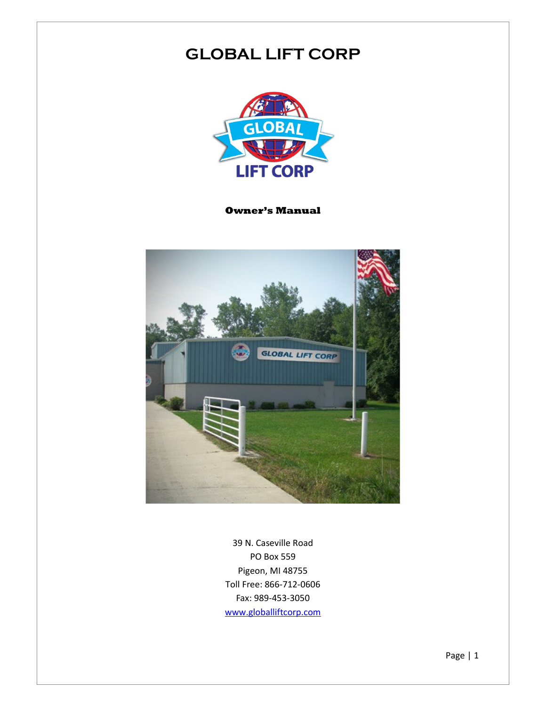## **GLOBAL LIFT CORP**



**Owner's Manual**



39 N. Caseville Road PO Box 559 Pigeon, MI 48755 Toll Free: 866-712-0606 Fax: 989-453-3050 [www.globalliftcorp.com](http://www.globalliftcorp.com/)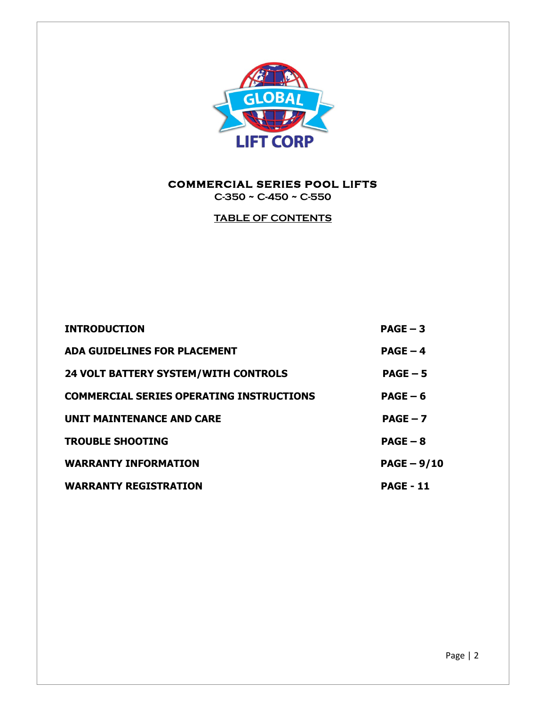

**COMMERCIAL SERIES POOL LIFTS**

**C-350 ~ C-450 ~ C-550**

**TABLE OF CONTENTS**

| <b>INTRODUCTION</b>                             | $PAGE - 3$       |
|-------------------------------------------------|------------------|
| ADA GUIDELINES FOR PLACEMENT                    | $PAGE - 4$       |
| <b>24 VOLT BATTERY SYSTEM/WITH CONTROLS</b>     | $PAGE - 5$       |
| <b>COMMERCIAL SERIES OPERATING INSTRUCTIONS</b> | $PAGE - 6$       |
| UNIT MAINTENANCE AND CARE                       | $PAGE - 7$       |
| <b>TROUBLE SHOOTING</b>                         | $PAGE - 8$       |
| <b>WARRANTY INFORMATION</b>                     | $PAGE - 9/10$    |
| <b>WARRANTY REGISTRATION</b>                    | <b>PAGE - 11</b> |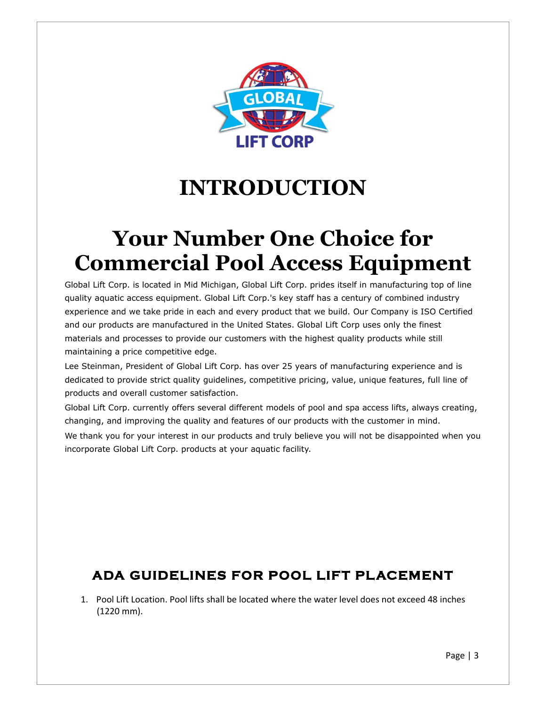

# **INTRODUCTION**

# **Your Number One Choice for Commercial Pool Access Equipment**

Global Lift Corp. is located in Mid Michigan, Global Lift Corp. prides itself in manufacturing top of line quality aquatic access equipment. Global Lift Corp.'s key staff has a century of combined industry experience and we take pride in each and every product that we build. Our Company is ISO Certified and our products are manufactured in the United States. Global Lift Corp uses only the finest materials and processes to provide our customers with the highest quality products while still maintaining a price competitive edge.

Lee Steinman, President of Global Lift Corp. has over 25 years of manufacturing experience and is dedicated to provide strict quality guidelines, competitive pricing, value, unique features, full line of products and overall customer satisfaction.

Global Lift Corp. currently offers several different models of pool and spa access lifts, always creating, changing, and improving the quality and features of our products with the customer in mind.

We thank you for your interest in our products and truly believe you will not be disappointed when you incorporate Global Lift Corp. products at your aquatic facility.

### **ADA GUIDELINES FOR POOL LIFT PLACEMENT**

1. Pool Lift Location. Pool lifts shall be located where the water level does not exceed 48 inches (1220 mm).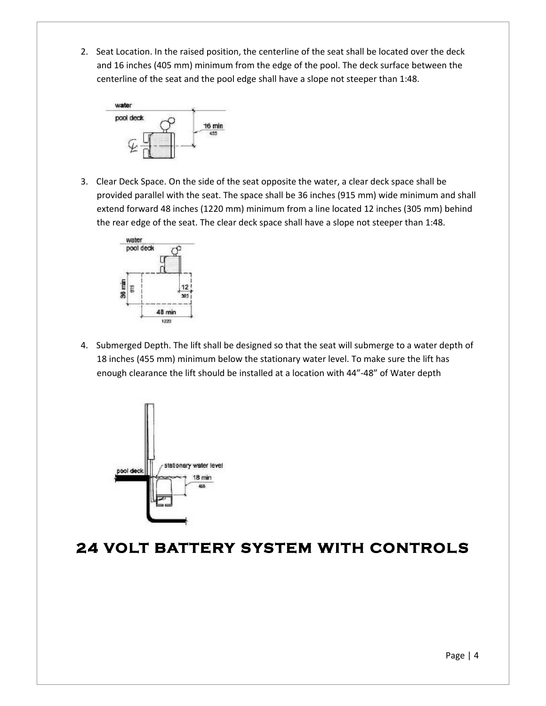2. Seat Location. In the raised position, the centerline of the seat shall be located over the deck and 16 inches (405 mm) minimum from the edge of the pool. The deck surface between the centerline of the seat and the pool edge shall have a slope not steeper than 1:48.



3. Clear Deck Space. On the side of the seat opposite the water, a clear deck space shall be provided parallel with the seat. The space shall be 36 inches (915 mm) wide minimum and shall extend forward 48 inches (1220 mm) minimum from a line located 12 inches (305 mm) behind the rear edge of the seat. The clear deck space shall have a slope not steeper than 1:48.



4. Submerged Depth. The lift shall be designed so that the seat will submerge to a water depth of 18 inches (455 mm) minimum below the stationary water level. To make sure the lift has enough clearance the lift should be installed at a location with 44"-48" of Water depth



### **24 VOLT BATTERY SYSTEM WITH CONTROLS**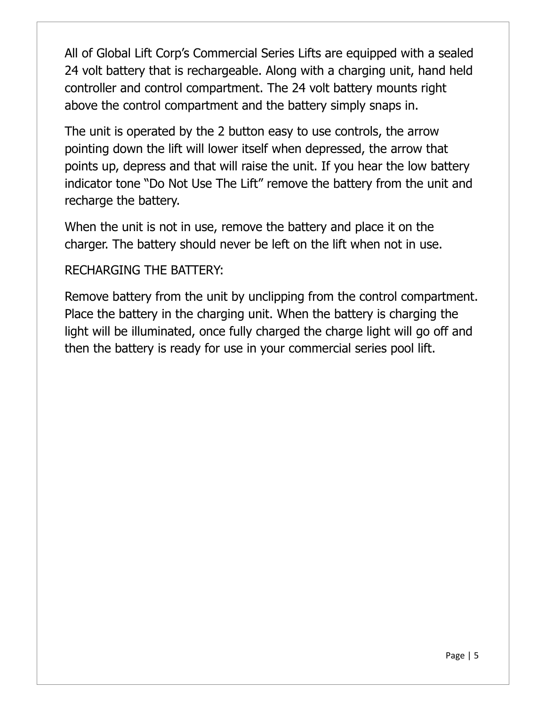All of Global Lift Corp's Commercial Series Lifts are equipped with a sealed 24 volt battery that is rechargeable. Along with a charging unit, hand held controller and control compartment. The 24 volt battery mounts right above the control compartment and the battery simply snaps in.

The unit is operated by the 2 button easy to use controls, the arrow pointing down the lift will lower itself when depressed, the arrow that points up, depress and that will raise the unit. If you hear the low battery indicator tone "Do Not Use The Lift" remove the battery from the unit and recharge the battery.

When the unit is not in use, remove the battery and place it on the charger. The battery should never be left on the lift when not in use.

### RECHARGING THE BATTERY:

Remove battery from the unit by unclipping from the control compartment. Place the battery in the charging unit. When the battery is charging the light will be illuminated, once fully charged the charge light will go off and then the battery is ready for use in your commercial series pool lift.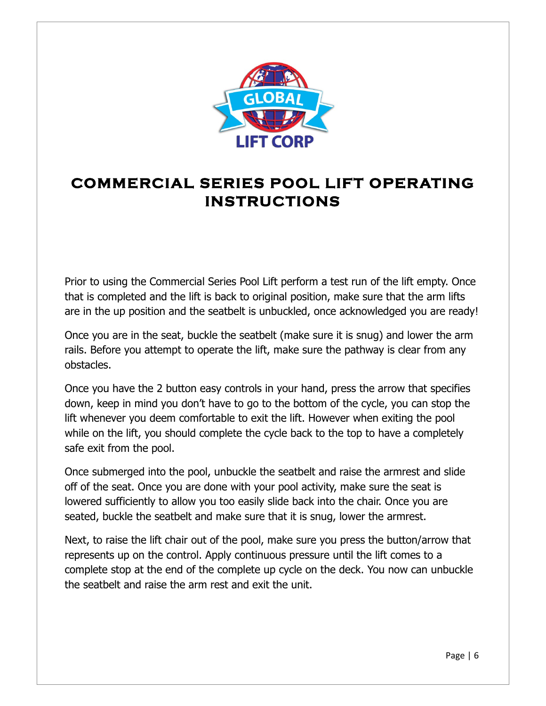

## **COMMERCIAL SERIES POOL LIFT OPERATING INSTRUCTIONS**

Prior to using the Commercial Series Pool Lift perform a test run of the lift empty. Once that is completed and the lift is back to original position, make sure that the arm lifts are in the up position and the seatbelt is unbuckled, once acknowledged you are ready!

Once you are in the seat, buckle the seatbelt (make sure it is snug) and lower the arm rails. Before you attempt to operate the lift, make sure the pathway is clear from any obstacles.

Once you have the 2 button easy controls in your hand, press the arrow that specifies down, keep in mind you don't have to go to the bottom of the cycle, you can stop the lift whenever you deem comfortable to exit the lift. However when exiting the pool while on the lift, you should complete the cycle back to the top to have a completely safe exit from the pool.

Once submerged into the pool, unbuckle the seatbelt and raise the armrest and slide off of the seat. Once you are done with your pool activity, make sure the seat is lowered sufficiently to allow you too easily slide back into the chair. Once you are seated, buckle the seatbelt and make sure that it is snug, lower the armrest.

Next, to raise the lift chair out of the pool, make sure you press the button/arrow that represents up on the control. Apply continuous pressure until the lift comes to a complete stop at the end of the complete up cycle on the deck. You now can unbuckle the seatbelt and raise the arm rest and exit the unit.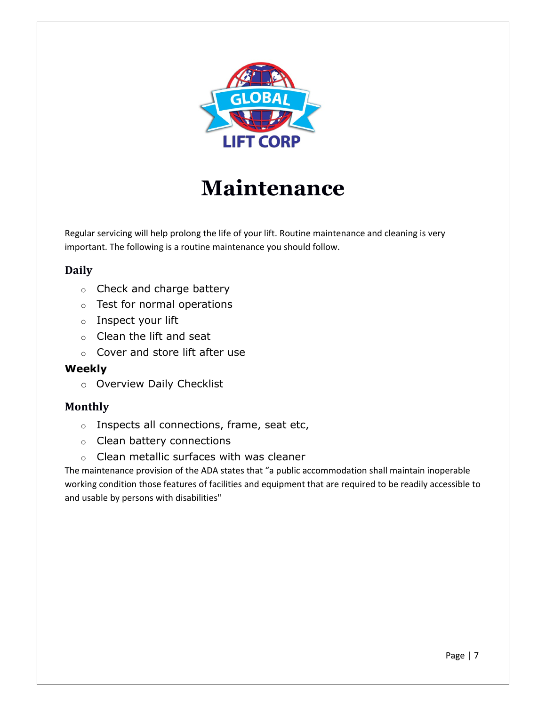

# **Maintenance**

Regular servicing will help prolong the life of your lift. Routine maintenance and cleaning is very important. The following is a routine maintenance you should follow.

### **Daily**

- o Check and charge battery
- o Test for normal operations
- o Inspect your lift
- o Clean the lift and seat
- o Cover and store lift after use

#### **Weekly**

o Overview Daily Checklist

#### **Monthly**

- o Inspects all connections, frame, seat etc,
- o Clean battery connections
- o Clean metallic surfaces with was cleaner

The maintenance provision of the ADA states that "a public accommodation shall maintain inoperable working condition those features of facilities and equipment that are required to be readily accessible to and usable by persons with disabilities"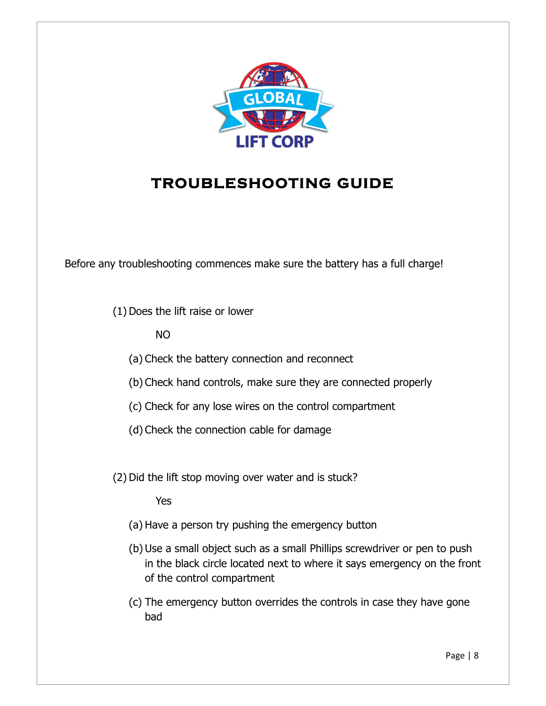

## **TROUBLESHOOTING GUIDE**

Before any troubleshooting commences make sure the battery has a full charge!

(1) Does the lift raise or lower

NO

- (a) Check the battery connection and reconnect
- (b) Check hand controls, make sure they are connected properly
- (c) Check for any lose wires on the control compartment
- (d) Check the connection cable for damage
- (2) Did the lift stop moving over water and is stuck?

Yes

- (a) Have a person try pushing the emergency button
- (b) Use a small object such as a small Phillips screwdriver or pen to push in the black circle located next to where it says emergency on the front of the control compartment
- (c) The emergency button overrides the controls in case they have gone bad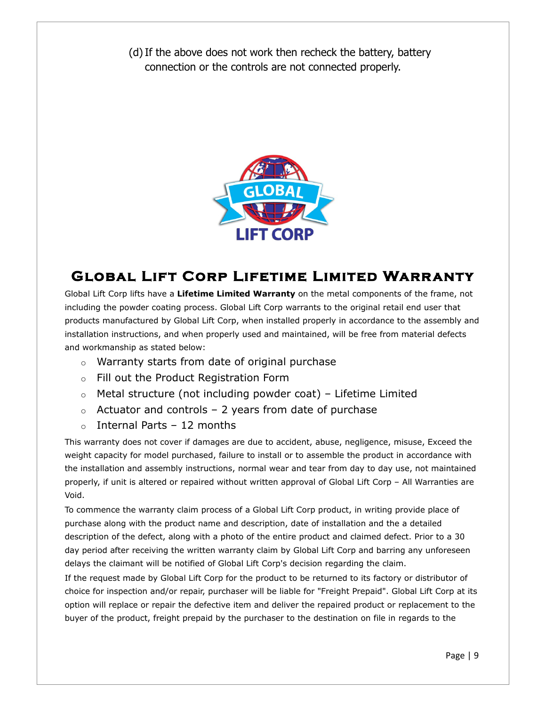(d)If the above does not work then recheck the battery, battery connection or the controls are not connected properly.



### **Global Lift Corp Lifetime Limited Warranty**

Global Lift Corp lifts have a **Lifetime Limited Warranty** on the metal components of the frame, not including the powder coating process. Global Lift Corp warrants to the original retail end user that products manufactured by Global Lift Corp, when installed properly in accordance to the assembly and installation instructions, and when properly used and maintained, will be free from material defects and workmanship as stated below:

- o Warranty starts from date of original purchase
- o Fill out the Product Registration Form
- $\circ$  Metal structure (not including powder coat) Lifetime Limited
- $\circ$  Actuator and controls 2 years from date of purchase
- $\circ$  Internal Parts 12 months

This warranty does not cover if damages are due to accident, abuse, negligence, misuse, Exceed the weight capacity for model purchased, failure to install or to assemble the product in accordance with the installation and assembly instructions, normal wear and tear from day to day use, not maintained properly, if unit is altered or repaired without written approval of Global Lift Corp – All Warranties are Void.

To commence the warranty claim process of a Global Lift Corp product, in writing provide place of purchase along with the product name and description, date of installation and the a detailed description of the defect, along with a photo of the entire product and claimed defect. Prior to a 30 day period after receiving the written warranty claim by Global Lift Corp and barring any unforeseen delays the claimant will be notified of Global Lift Corp's decision regarding the claim.

If the request made by Global Lift Corp for the product to be returned to its factory or distributor of choice for inspection and/or repair, purchaser will be liable for "Freight Prepaid". Global Lift Corp at its option will replace or repair the defective item and deliver the repaired product or replacement to the buyer of the product, freight prepaid by the purchaser to the destination on file in regards to the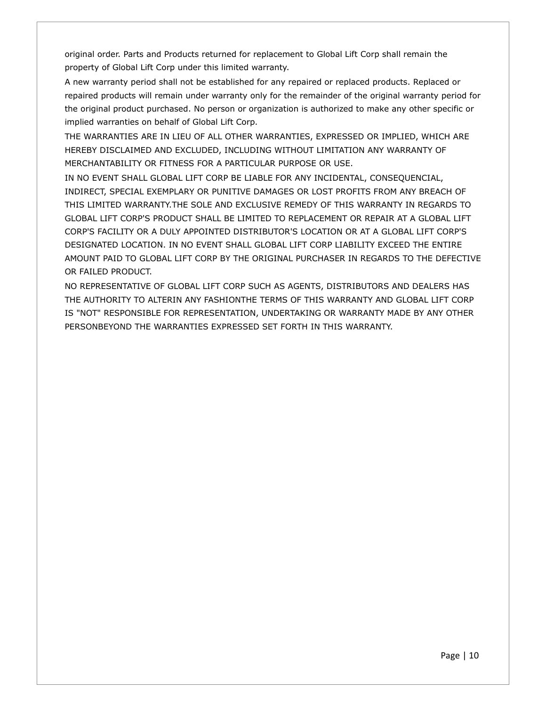original order. Parts and Products returned for replacement to Global Lift Corp shall remain the property of Global Lift Corp under this limited warranty.

A new warranty period shall not be established for any repaired or replaced products. Replaced or repaired products will remain under warranty only for the remainder of the original warranty period for the original product purchased. No person or organization is authorized to make any other specific or implied warranties on behalf of Global Lift Corp.

THE WARRANTIES ARE IN LIEU OF ALL OTHER WARRANTIES, EXPRESSED OR IMPLIED, WHICH ARE HEREBY DISCLAIMED AND EXCLUDED, INCLUDING WITHOUT LIMITATION ANY WARRANTY OF MERCHANTABILITY OR FITNESS FOR A PARTICULAR PURPOSE OR USE.

IN NO EVENT SHALL GLOBAL LIFT CORP BE LIABLE FOR ANY INCIDENTAL, CONSEQUENCIAL, INDIRECT, SPECIAL EXEMPLARY OR PUNITIVE DAMAGES OR LOST PROFITS FROM ANY BREACH OF THIS LIMITED WARRANTY.THE SOLE AND EXCLUSIVE REMEDY OF THIS WARRANTY IN REGARDS TO GLOBAL LIFT CORP'S PRODUCT SHALL BE LIMITED TO REPLACEMENT OR REPAIR AT A GLOBAL LIFT CORP'S FACILITY OR A DULY APPOINTED DISTRIBUTOR'S LOCATION OR AT A GLOBAL LIFT CORP'S DESIGNATED LOCATION. IN NO EVENT SHALL GLOBAL LIFT CORP LIABILITY EXCEED THE ENTIRE AMOUNT PAID TO GLOBAL LIFT CORP BY THE ORIGINAL PURCHASER IN REGARDS TO THE DEFECTIVE OR FAILED PRODUCT.

NO REPRESENTATIVE OF GLOBAL LIFT CORP SUCH AS AGENTS, DISTRIBUTORS AND DEALERS HAS THE AUTHORITY TO ALTERIN ANY FASHIONTHE TERMS OF THIS WARRANTY AND GLOBAL LIFT CORP IS "NOT" RESPONSIBLE FOR REPRESENTATION, UNDERTAKING OR WARRANTY MADE BY ANY OTHER PERSONBEYOND THE WARRANTIES EXPRESSED SET FORTH IN THIS WARRANTY.